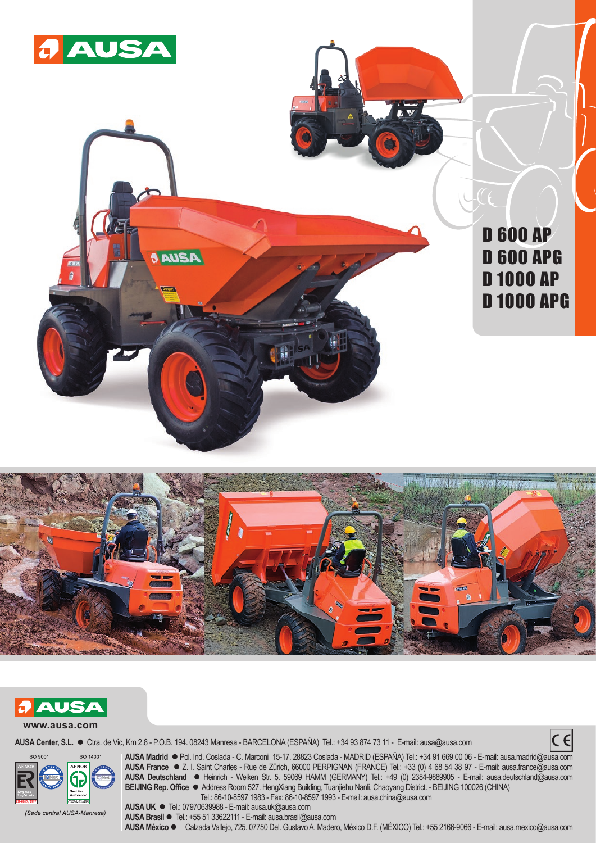





AUSA Center, S.L. ● Ctra. de Vic, Km 2.8 - P.O.B. 194. 08243 Manresa - BARCELONA (ESPAÑA) Tel.: +34 93 874 73 11 - E-mail: ausa@ausa.com





**AUSA Madrid** l Pol. Ind. Coslada - C. Marconi 15-17. 28823 Coslada - MADRID (ESPAÑA) Tel.: +34 91 669 00 06 - E-mail: ausa.madrid@ausa.com **AUSA France** l Z. I. Saint Charles - Rue de Zürich, 66000 PERPIGNAN (FRANCE) Tel.: +33 (0) 4 68 54 38 97 - E-mail: ausa.france@ausa.com **AUSA Deutschland** l Heinrich - Welken Str. 5. 59069 HAMM (GERMANY) Tel.: +49 (0) 2384-9889905 - E-mail: ausa.deutschland@ausa.com **BEIJING Rep. Office** l Address Room 527. HengXiang Building, Tuanjiehu Nanli, Chaoyang District. - BEIJING 100026 (CHINA) Tel.: 86-10-8597 1983 - Fax: 86-10-8597 1993 - E-mail: ausa.china@ausa.com

(Sede central AUSA-Manresa)

**AUSA UK ●** Tel.: 07970639988 - E-mail: ausa.uk@ausa.com **AUSA Brasil ●** Tel.: +55 51 33622111 - E-mail: ausa.brasil@ausa.com **AUSA México** l Calzada Vallejo, 725. 07750 Del. Gustavo A. Madero, México D.F. (MÉXICO) Tel.: +55 2166-9066 - E-mail: ausa.mexico@ausa.com